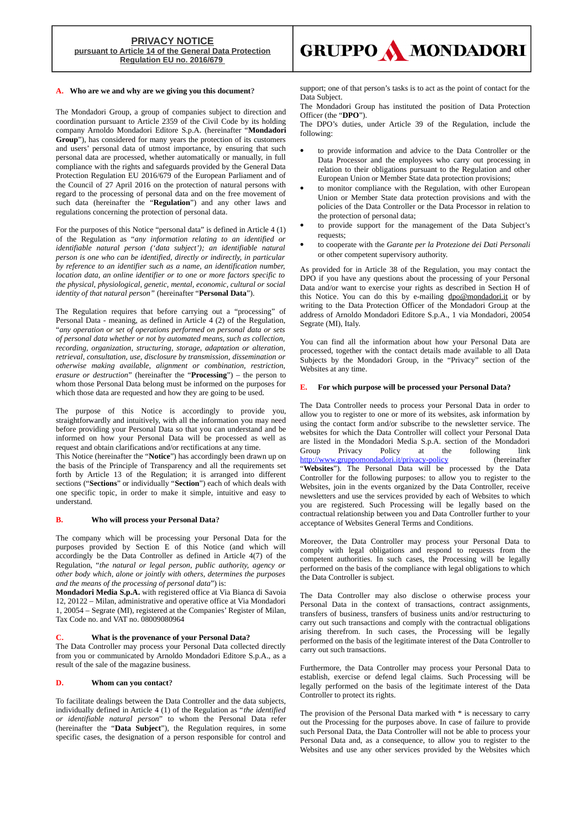# **PRIVACY NOTICE pursuant to Article 14 of the General Data Protection Regulation EU no. 2016/679**

# **A. Who are we and why are we giving you this document?**

The Mondadori Group, a group of companies subject to direction and coordination pursuant to Article 2359 of the Civil Code by its holding company Arnoldo Mondadori Editore S.p.A. (hereinafter "**Mondadori Group**"), has considered for many years the protection of its customers and users' personal data of utmost importance, by ensuring that such personal data are processed, whether automatically or manually, in full compliance with the rights and safeguards provided by the General Data Protection Regulation EU 2016/679 of the European Parliament and of the Council of 27 April 2016 on the protection of natural persons with regard to the processing of personal data and on the free movement of such data (hereinafter the "**Regulation**") and any other laws and regulations concerning the protection of personal data.

For the purposes of this Notice "personal data" is defined in Article 4 (1) of the Regulation as "*any information relating to an identified or identifiable natural person ('data subject'); an identifiable natural person is one who can be identified, directly or indirectly, in particular by reference to an identifier such as a name, an identification number, location data, an online identifier or to one or more factors specific to the physical, physiological, genetic, mental, economic, cultural or social identity of that natural person"* (hereinafter "**Personal Data**").

The Regulation requires that before carrying out a "processing" of Personal Data - meaning, as defined in Article 4 (2) of the Regulation, "*any operation or set of operations performed on personal data or sets of personal data whether or not by automated means, such as collection, recording, organization, structuring, storage, adaptation or alteration, retrieval, consultation, use, disclosure by transmission, dissemination or otherwise making available, alignment or combination, restriction, erasure or destruction*" (hereinafter the "**Processing**") – the person to whom those Personal Data belong must be informed on the purposes for which those data are requested and how they are going to be used.

The purpose of this Notice is accordingly to provide you, straightforwardly and intuitively, with all the information you may need before providing your Personal Data so that you can understand and be informed on how your Personal Data will be processed as well as request and obtain clarifications and/or rectifications at any time.

This Notice (hereinafter the "**Notice**") has accordingly been drawn up on the basis of the Principle of Transparency and all the requirements set forth by Article 13 of the Regulation; it is arranged into different sections ("**Sections**" or individually "**Section**") each of which deals with one specific topic, in order to make it simple, intuitive and easy to understand.

### **B. Who will process your Personal Data?**

The company which will be processing your Personal Data for the purposes provided by Section E of this Notice (and which will accordingly be the Data Controller as defined in Article 4(7) of the Regulation, "*the natural or legal person, public authority, agency or other body which, alone or jointly with others, determines the purposes and the means of the processing of personal data*") is:

**Mondadori Media S.p.A.** with registered office at Via Bianca di Savoia 12, 20122 – Milan, administrative and operative office at Via Mondadori 1, 20054 – Segrate (MI), registered at the Companies' Register of Milan, Tax Code no. and VAT no. 08009080964

### **C. What is the provenance of your Personal Data?**

The Data Controller may process your Personal Data collected directly from you or communicated by Arnoldo Mondadori Editore S.p.A., as a result of the sale of the magazine business.

# **D. Whom can you contact?**

To facilitate dealings between the Data Controller and the data subjects, individually defined in Article 4 (1) of the Regulation as "*the identified or identifiable natural person*" to whom the Personal Data refer (hereinafter the "**Data Subject**"), the Regulation requires, in some specific cases, the designation of a person responsible for control and



support; one of that person's tasks is to act as the point of contact for the Data Subject.

The Mondadori Group has instituted the position of Data Protection Officer (the "**DPO**").

The DPO's duties, under Article 39 of the Regulation, include the following:

- to provide information and advice to the Data Controller or the Data Processor and the employees who carry out processing in relation to their obligations pursuant to the Regulation and other European Union or Member State data protection provisions;
- to monitor compliance with the Regulation, with other European Union or Member State data protection provisions and with the policies of the Data Controller or the Data Processor in relation to the protection of personal data;
- to provide support for the management of the Data Subject's requests;
- to cooperate with the *Garante per la Protezione dei Dati Personali* or other competent supervisory authority.

As provided for in Article 38 of the Regulation, you may contact the DPO if you have any questions about the processing of your Personal Data and/or want to exercise your rights as described in Section H of this Notice. You can do this by e-mailing [dpo@mondadori.it](mailto:dpo@mondadori.it) or by writing to the Data Protection Officer of the Mondadori Group at the address of Arnoldo Mondadori Editore S.p.A., 1 via Mondadori, 20054 Segrate (MI), Italy.

You can find all the information about how your Personal Data are processed, together with the contact details made available to all Data Subjects by the Mondadori Group, in the "Privacy" section of the Websites at any time.

## **E. For which purpose will be processed your Personal Data?**

The Data Controller needs to process your Personal Data in order to allow you to register to one or more of its websites, ask information by using the contact form and/or subscribe to the newsletter service. The websites for which the Data Controller will collect your Personal Data are listed in the Mondadori Media S.p.A. section of the Mondadori Group Privacy Policy at the following link<br>http://www.gruppomondadori.it/privacy-policy (hereinafter http://www.gruppomondadori.it/privacy-policy "**Websites**"). The Personal Data will be processed by the Data Controller for the following purposes: to allow you to register to the Websites, join in the events organized by the Data Controller, receive newsletters and use the services provided by each of Websites to which you are registered. Such Processing will be legally based on the contractual relationship between you and Data Controller further to your acceptance of Websites General Terms and Conditions.

Moreover, the Data Controller may process your Personal Data to comply with legal obligations and respond to requests from the competent authorities. In such cases, the Processing will be legally performed on the basis of the compliance with legal obligations to which the Data Controller is subject.

The Data Controller may also disclose o otherwise process your Personal Data in the context of transactions, contract assignments, transfers of business, transfers of business units and/or restructuring to carry out such transactions and comply with the contractual obligations arising therefrom. In such cases, the Processing will be legally performed on the basis of the legitimate interest of the Data Controller to carry out such transactions.

Furthermore, the Data Controller may process your Personal Data to establish, exercise or defend legal claims. Such Processing will be legally performed on the basis of the legitimate interest of the Data Controller to protect its rights.

The provision of the Personal Data marked with \* is necessary to carry out the Processing for the purposes above. In case of failure to provide such Personal Data, the Data Controller will not be able to process your Personal Data and, as a consequence, to allow you to register to the Websites and use any other services provided by the Websites which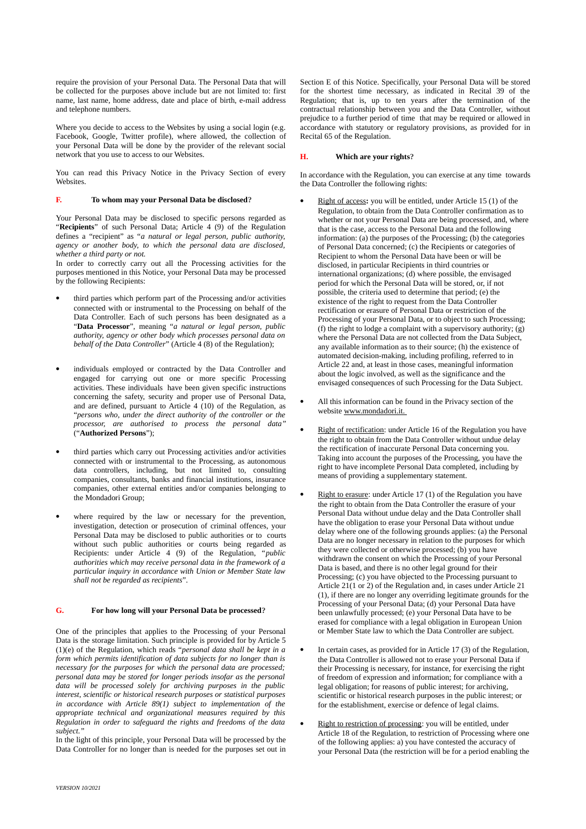require the provision of your Personal Data. The Personal Data that will be collected for the purposes above include but are not limited to: first name, last name, home address, date and place of birth, e-mail address and telephone numbers.

Where you decide to access to the Websites by using a social login (e.g. Facebook, Google, Twitter profile), where allowed, the collection of your Personal Data will be done by the provider of the relevant social network that you use to access to our Websites.

You can read this Privacy Notice in the Privacy Section of every Websites.

# **F. To whom may your Personal Data be disclosed?**

Your Personal Data may be disclosed to specific persons regarded as "**Recipients**" of such Personal Data; Article 4 (9) of the Regulation defines a "recipient" as "*a natural or legal person, public authority, agency or another body, to which the personal data are disclosed, whether a third party or not.*

In order to correctly carry out all the Processing activities for the purposes mentioned in this Notice, your Personal Data may be processed by the following Recipients:

- third parties which perform part of the Processing and/or activities connected with or instrumental to the Processing on behalf of the Data Controller. Each of such persons has been designated as a "**Data Processor**", meaning "*a natural or legal person, public authority, agency or other body which processes personal data on behalf of the Data Controller*" (Article 4 (8) of the Regulation);
- individuals employed or contracted by the Data Controller and engaged for carrying out one or more specific Processing activities. These individuals have been given specific instructions concerning the safety, security and proper use of Personal Data, and are defined, pursuant to Article 4 (10) of the Regulation, as "*persons who, under the direct authority of the controller or the processor, are authorised to process the personal data"* ("**Authorized Persons**");
- third parties which carry out Processing activities and/or activities connected with or instrumental to the Processing, as autonomous data controllers, including, but not limited to, consulting companies, consultants, banks and financial institutions, insurance companies, other external entities and/or companies belonging to the Mondadori Group;
- where required by the law or necessary for the prevention, investigation, detection or prosecution of criminal offences, your Personal Data may be disclosed to public authorities or to courts without such public authorities or courts being regarded as Recipients: under Article 4 (9) of the Regulation, "*public authorities which may receive personal data in the framework of a particular inquiry in accordance with Union or Member State law shall not be regarded as recipients*".

## **G. For how long will your Personal Data be processed?**

One of the principles that applies to the Processing of your Personal Data is the storage limitation. Such principle is provided for by Article 5 (1)(e) of the Regulation, which reads "*personal data shall be kept in a form which permits identification of data subjects for no longer than is necessary for the purposes for which the personal data are processed; personal data may be stored for longer periods insofar as the personal data will be processed solely for archiving purposes in the public interest, scientific or historical research purposes or statistical purposes in accordance with Article 89(1) subject to implementation of the appropriate technical and organizational measures required by this Regulation in order to safeguard the rights and freedoms of the data subject."*

In the light of this principle, your Personal Data will be processed by the Data Controller for no longer than is needed for the purposes set out in

Section E of this Notice. Specifically, your Personal Data will be stored for the shortest time necessary, as indicated in Recital 39 of the Regulation; that is, up to ten years after the termination of the contractual relationship between you and the Data Controller, without prejudice to a further period of time that may be required or allowed in accordance with statutory or regulatory provisions, as provided for in Recital 65 of the Regulation.

## **H. Which are your rights?**

In accordance with the Regulation, you can exercise at any time towards the Data Controller the following rights:

- Right of access**:** you will be entitled, under Article 15 (1) of the Regulation, to obtain from the Data Controller confirmation as to whether or not your Personal Data are being processed, and, where that is the case, access to the Personal Data and the following information: (a) the purposes of the Processing; (b) the categories of Personal Data concerned; (c) the Recipients or categories of Recipient to whom the Personal Data have been or will be disclosed, in particular Recipients in third countries or international organizations; (d) where possible, the envisaged period for which the Personal Data will be stored, or, if not possible, the criteria used to determine that period; (e) the existence of the right to request from the Data Controller rectification or erasure of Personal Data or restriction of the Processing of your Personal Data, or to object to such Processing; (f) the right to lodge a complaint with a supervisory authority; (g) where the Personal Data are not collected from the Data Subject, any available information as to their source; (h) the existence of automated decision-making, including profiling, referred to in Article 22 and, at least in those cases, meaningful information about the logic involved, as well as the significance and the envisaged consequences of such Processing for the Data Subject.
- All this information can be found in the Privacy section of the website [www.mondadori.it.](http://www.mondadori.it/)
- Right of rectification: under Article 16 of the Regulation you have the right to obtain from the Data Controller without undue delay the rectification of inaccurate Personal Data concerning you. Taking into account the purposes of the Processing, you have the right to have incomplete Personal Data completed, including by means of providing a supplementary statement.
- Right to erasure: under Article 17 (1) of the Regulation you have the right to obtain from the Data Controller the erasure of your Personal Data without undue delay and the Data Controller shall have the obligation to erase your Personal Data without undue delay where one of the following grounds applies: (a) the Personal Data are no longer necessary in relation to the purposes for which they were collected or otherwise processed; (b) you have withdrawn the consent on which the Processing of your Personal Data is based, and there is no other legal ground for their Processing; (c) you have objected to the Processing pursuant to Article  $21(1 \text{ or } 2)$  of the Regulation and, in cases under Article 21 (1), if there are no longer any overriding legitimate grounds for the Processing of your Personal Data; (d) your Personal Data have been unlawfully processed; (e) your Personal Data have to be erased for compliance with a legal obligation in European Union or Member State law to which the Data Controller are subject.
- In certain cases, as provided for in Article 17 (3) of the Regulation, the Data Controller is allowed not to erase your Personal Data if their Processing is necessary, for instance, for exercising the right of freedom of expression and information; for compliance with a legal obligation; for reasons of public interest; for archiving, scientific or historical research purposes in the public interest; or for the establishment, exercise or defence of legal claims.
- Right to restriction of processing: you will be entitled, under Article 18 of the Regulation, to restriction of Processing where one of the following applies: a) you have contested the accuracy of your Personal Data (the restriction will be for a period enabling the